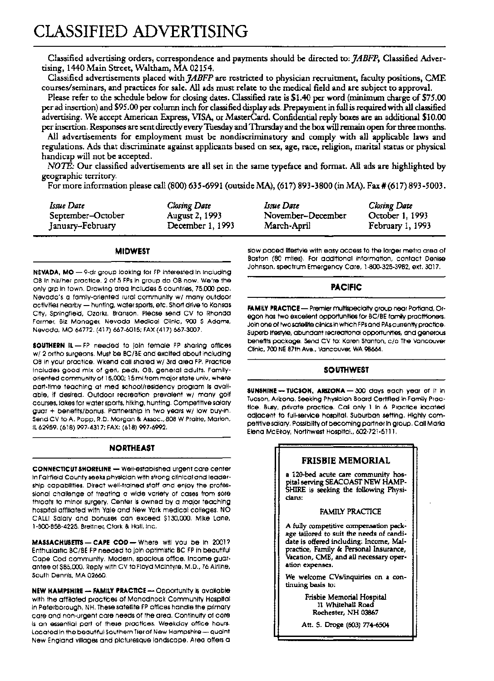Classified advertising orders, correspondence and payments should be directed to: *]ABFP,* Classified Advertising, 1440 Main Street, Waltham, MA 02154.

Classified advertisements placed with *]ABFP* are restricted to physician recruitment, faculty positions, CME courses/seminars, and practices for sale. All ads must relate to the medical field and are subject to approval.

Please refer to the schedule below for closing dates. Classified rate is \$1.40 per word (minimum charge of \$75.00 per ad insertion) and \$95.00 per column inch for classified display ads. Prepayment in full is required with all classified advertising. We accept American Express, VISA, or MasterCard. Confidential reply boxes are an additional \$10.00 per insertion. Responses are sent directly every Tuesday and Thursday and the box will remain open for three months.

All advertisements for employment must be nondiscriminatory and comply with all applicable laws and regulations. Ads that discriminate against applicants based on sex, age, race, religion, marital status or physical handicap will not be accepted.

*NOTE:* Our classified advertisements are all set in the same typeface and format. All ads are highlighted by geographic territory.

For more information please call (800) 635-6991 (outsideMA), (617) 893-3800 (inMA). Fax' (617) 893-5003.

| Issue Date        | Closing Date     | Issue Date        | Closing Date     |
|-------------------|------------------|-------------------|------------------|
| September-October | August 2, 1993   | November-December | October 1, 1993  |
| January-February  | December 1, 1993 | March-April       | February 1, 1993 |

### **MIDWEST**

NEVADA, MO - 9-dr group looking for FP interested in Including OB In his/her practice. 2 of 5 FPs In group do OB now. We're the only grp In town. Drawing area Includes 5 countries. 75.000 pop. Nevada's a family-oriented rural community w/ many outdoor activities nearby - hunting, water sports, etc. Short drive to Kansas City. Springfield. Ozarks. Branson. Please send CV to Rhonda Farmer. Biz Manager. Nevada Medical Clinic. 900 S Adams. Nevada. MO 64772. (417) 667-6015; FAX (417) 667-3007.

SOUTHERN IL - FP needed to Join female FP sharing offices w/2 ortho surgeons. Must be BC/BE and excited about Including OB In your practice. Wkend call shared w/ 3rd area FP. Practice Includes good mix of gerl. peds. OB. general adults. Famllyoriented community of 15.000; 15 ml from major state unlv. where part-time teaching at med school/residency program Is available. If deSired. Outdoor recreation prevalent w/ many golf courses. lakes for water sports. hiking. hunting. Competitive salary guar + benefits/bonus. Partnership In two years w/ low buy-In. Send CV to A. Popp. R.D. Morgan & Assoc., 808 W Prairie, Marlon. Il62959. (618) 997-4317; FAX: (618) 997-6992.

### **NORTHEAST**

CONNECTICUT SHORELINE - Well-established urgent care center In Fairfield County seeks physician with strong clinical and leadership capabilities. Direct well-trained staff and enjoy the professional challenge of treating a wide variety of cases from sore throats to minor surgery. Center Is owned by a major teaching hospital affiliated with Yale and New York medical colleges. NO CALLI Salary and bonuses can exceed \$130.000. Mike lane. 1-800-858-4225. Breltner. Clark & Hall. Inc.

MASSACHUSETTS - CAPE COD - Where will you be in 2001? Enthusiastic BC/BE FP needed to Join optimistic BC FP In beautiful Cape Cod community. Modern. spacious office. Income guarantee of \$85.000. Reply with CV to Floyd Mcintyre. M.D .. 76 Airline. South Dennis. MA 02660.

NEW HAMPSHIRE - FAMILY PRACTICE -- Opportunity is available with the affliated practices of Monadnock Community Hospital In Peterborough. NH. These satellite FP offices handle the primary care and non-urgent care needs of the area. Continuity of care Is an essential part of these practices. Weekday office hours. located In the beautiful Southern Tier of New Hampshire - quaint New England villages and picturesque landscape. Area offers a slow paced lifestyle with easy access to the larger metro area of Boston (80 miles). For additional Information. contact Denise Johnson. spectrum Emergency Care. 1-800-325-3982. ext. 3017.

## PACIFIC

FAMILY PRACTICE - Premier multispecialty group near Portland, Oregon has two excellent opportunities for BC/BE family practitioners. Join one of two satellite clinics in which FPs and PAs currently practice. Superb lifestyle. abundant recreational opportunities. and generous benefits package. Send CV to: Karen Stanton. c/o The Vancouver Clinic, 700 NE 87th Ave., Vancouver, WA 98664.

## **SOUTHWEST**

SUNSHINE -- TUCSON, ARIZONA - 300 days each year of it in Tucson. Arizona. Seeking Physician Board Certified In Family Practice. Busy. private practice. CaN only 1 In 6. Practice located adjacent to full-service hospital. Suburban setting. Highly competitive saiary. Possibility of becoming partner in group. Call Marla-Elena McElroy, Northwest Hospital., 602-721-5111.

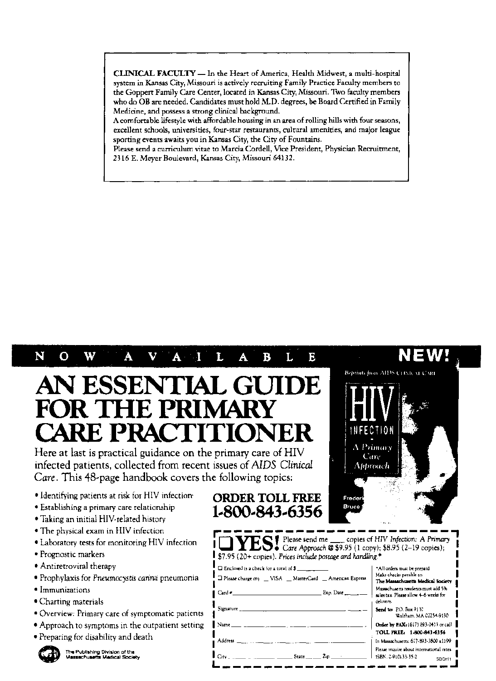CLINICAL FACULTY - In the Heart of America, Health Midwest, a multi-hospital system in Kansas City, Missouri is actively recruiting Family Practice Faculty members to the Goppert Family Care Center, located in Kansas City, Missouri. Two faculty members who do OB are needed. Candidates must hold M.D. degrees, be Board Certified in Family Medicine, and possess a strong clinical background.

A comfortable lifestyle with affordable housing in an area of rolling hills with four seasons, excellent schools, universities, four-star restaurants, cultural amenities, and major league sporting events awaits you in Kansas City, the City of Fountains.

Please send a curriculum vitae to Marcia Cordell, Vice President, Physician Recruitment, 2316 E. Meyer Boulevard, Kansas City, Missouri 64132.

> ORDER TOLL FREE 1.800.843.6356

### N  $\Omega$ W  $\overline{\mathbf{V}}$ A L A B Τ. E

## AN ESSENTIAL GUIDE FOR THE PRIMAI CARE PRACTITION

Here at last is practical guidance on the primary care of HIV infected patients, collected from recent issues of *AIDS Clinical Care.* This 48~page handbook covers the following topics:

- Identifying patients at risk for HIV infection'
- Establishing a primary care relationship
- Taking an initial HIV-related history
- The physical exam in HIV infection
- Laboratory tests for monitoring HIV infection
- Prognostic markers
- Antiretroviral therapy
- Prophylaxis for *Pneumocystis carinii* pneumonia
- Immunizations
- Charting materials
- Overview: Primary care of symptomatic patients
- Approach to symptoms in the outpatient setting
- Preparing for disability and death<br>• Preparing for disability and death<br>• Messex business Medical Society



| MUNITION DE NOUS                                                                                                                                                           | free de                                                                                  |
|----------------------------------------------------------------------------------------------------------------------------------------------------------------------------|------------------------------------------------------------------------------------------|
| <b>THES!</b> Care Approach <b>@</b> \$9.95 (1 copy); \$8.95 (2-19 copies);<br>$\blacktriangleright$ \$7.95 (20+ copies). Prices include postage and handling. <sup>*</sup> |                                                                                          |
| $\Box$ Enclosed is a check for a total of $\ddot{\bm{5}}$                                                                                                                  | "All orders must be prepaid.                                                             |
| a Please charge my __ VISA __ MasterCard __ American Express                                                                                                               | Make checks payable to:<br>The Massachusetts Medical Society                             |
| $\mathbb{E}$ Exp. Date $\mathbb{E}$ $\mathbb{E}$ $\mathbb{E}$<br>$Card \sim$                                                                                               | Massachuserts rendents must add 5%<br>sales tax. Please allow 4–6 weeks for<br>delivery. |
|                                                                                                                                                                            | Send to: P.O. Box 9137<br>Waltham, MA 02254-9130                                         |
|                                                                                                                                                                            | Order by PAX: (617) 893-0413 or call                                                     |
|                                                                                                                                                                            | TOLL FREE: 1-800-843-6356                                                                |
|                                                                                                                                                                            | In Massachusetts: 617-893-3800 x1199                                                     |
| $C_{\text{H}}(y_{1}, \ldots, y_{n})$ , $\ldots$ , $\ldots$ , $\ldots$ State $\ldots$ , $Z_{\text{H}}$ , $\ldots$ , $\ldots$                                                | Please inquire about international rates.<br>  ISBN 0-910133-35-2<br>SBOH <sub>1</sub>   |

|                                            | NEW!<br>Reprints from AIDS CHNICAL CARL |  |
|--------------------------------------------|-----------------------------------------|--|
| INFECTION<br>A Primary<br>Care<br>Approach |                                         |  |
| Frederk<br>Bruce                           |                                         |  |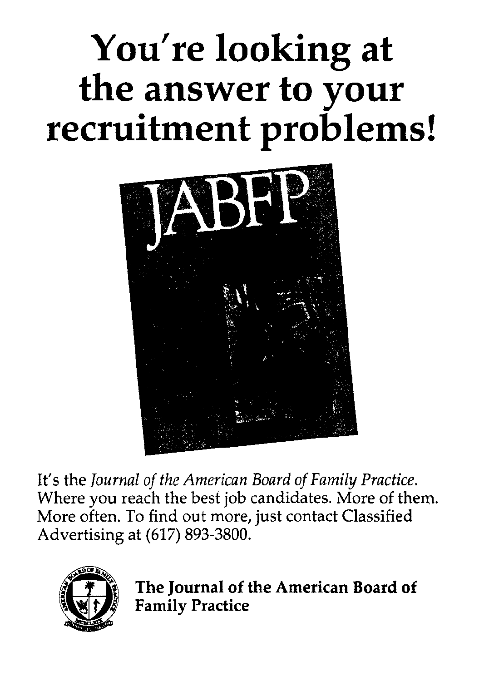# **You're looking at the answer to your recruitment problems!**



It's the *Journal of the American Board of Family Practice.*  Where you reach the best job candidates. More of them. More often. To find out more, just contact Classified Advertising at (617) 893-3800.



The Journal of the American Board of **Family Practice**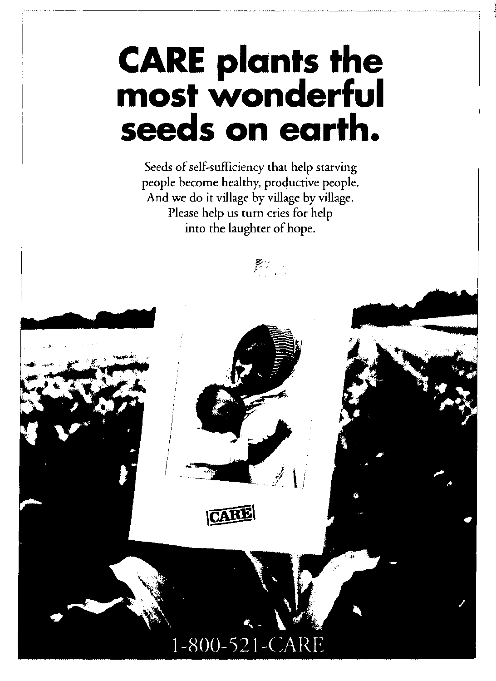## **CARE plants the most wonderful seeds on earth.**

Seeds of self-sufficiency that help starving people become healthy, productive people. And we do it village by village by village. Please help us turn cries for help into the laughter of hope.

 $\mathcal{B}^{\rho}$  , and



CARE